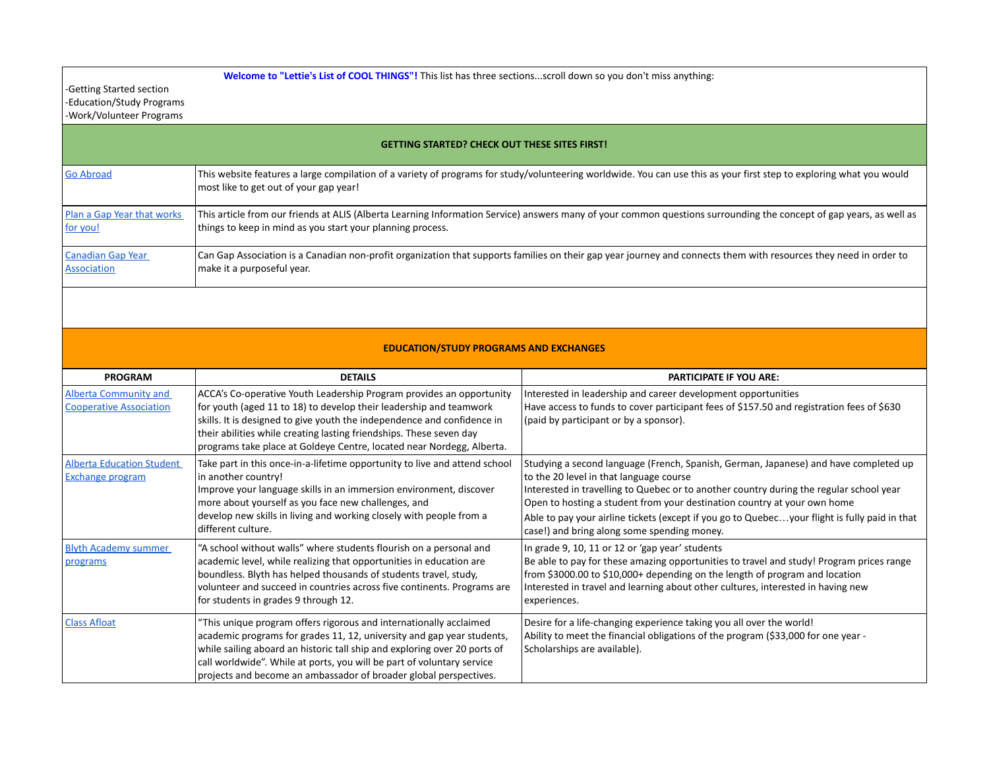**Welcome to "Lettie's List of COOL THINGS"!** This list has three sections...scroll down so you don't miss anything:

-Getting Started section -Education/Study Programs -Work/Volunteer Programs

| <b>GETTING STARTED? CHECK OUT THESE SITES FIRST!</b> |                                                                                                                                                                                                                |  |
|------------------------------------------------------|----------------------------------------------------------------------------------------------------------------------------------------------------------------------------------------------------------------|--|
| <b>Go Abroad</b>                                     | This website features a large compilation of a variety of programs for study/volunteering worldwide. You can use this as your first step to exploring what you would<br>most like to get out of your gap year! |  |
| Plan a Gap Year that works                           | This article from our friends at ALIS (Alberta Learning Information Service) answers many of your common questions surrounding the concept of gap years, as well as                                            |  |
| for you!                                             | things to keep in mind as you start your planning process.                                                                                                                                                     |  |
| <b>Canadian Gap Year</b>                             | Can Gap Association is a Canadian non-profit organization that supports families on their gap year journey and connects them with resources they need in order to                                              |  |
| Association                                          | make it a purposeful year.                                                                                                                                                                                     |  |

## **EDUCATION/STUDY PROGRAMS AND EXCHANGES**

| <b>PROGRAM</b>                                                 | <b>DETAILS</b>                                                                                                                                                                                                                                                                                                                                                           | <b>PARTICIPATE IF YOU ARE:</b>                                                                                                                                                                                                                                                                                                                                                                                                                         |
|----------------------------------------------------------------|--------------------------------------------------------------------------------------------------------------------------------------------------------------------------------------------------------------------------------------------------------------------------------------------------------------------------------------------------------------------------|--------------------------------------------------------------------------------------------------------------------------------------------------------------------------------------------------------------------------------------------------------------------------------------------------------------------------------------------------------------------------------------------------------------------------------------------------------|
| <b>Alberta Community and</b><br><b>Cooperative Association</b> | ACCA's Co-operative Youth Leadership Program provides an opportunity<br>for youth (aged 11 to 18) to develop their leadership and teamwork<br>skills. It is designed to give youth the independence and confidence in<br>their abilities while creating lasting friendships. These seven day<br>programs take place at Goldeye Centre, located near Nordegg, Alberta.    | Interested in leadership and career development opportunities<br>Have access to funds to cover participant fees of \$157.50 and registration fees of \$630<br>(paid by participant or by a sponsor).                                                                                                                                                                                                                                                   |
| <b>Alberta Education Student</b><br>Exchange program           | Take part in this once-in-a-lifetime opportunity to live and attend school<br>in another country!<br>Improve your language skills in an immersion environment, discover<br>more about yourself as you face new challenges, and<br>develop new skills in living and working closely with people from a<br>different culture.                                              | Studying a second language (French, Spanish, German, Japanese) and have completed up<br>to the 20 level in that language course<br>Interested in travelling to Quebec or to another country during the regular school year<br>Open to hosting a student from your destination country at your own home<br>Able to pay your airline tickets (except if you go to Quebecyour flight is fully paid in that<br>case!) and bring along some spending money. |
| <b>Blyth Academy summer</b><br>programs                        | "A school without walls" where students flourish on a personal and<br>academic level, while realizing that opportunities in education are<br>boundless. Blyth has helped thousands of students travel, study,<br>volunteer and succeed in countries across five continents. Programs are<br>for students in grades 9 through 12.                                         | In grade 9, 10, 11 or 12 or 'gap year' students<br>Be able to pay for these amazing opportunities to travel and study! Program prices range<br>from \$3000.00 to \$10,000+ depending on the length of program and location<br>Interested in travel and learning about other cultures, interested in having new<br>experiences.                                                                                                                         |
| <b>Class Afloat</b>                                            | 'This unique program offers rigorous and internationally acclaimed<br>academic programs for grades 11, 12, university and gap year students,<br>while sailing aboard an historic tall ship and exploring over 20 ports of<br>call worldwide". While at ports, you will be part of voluntary service<br>projects and become an ambassador of broader global perspectives. | Desire for a life-changing experience taking you all over the world!<br>Ability to meet the financial obligations of the program (\$33,000 for one year -<br>Scholarships are available).                                                                                                                                                                                                                                                              |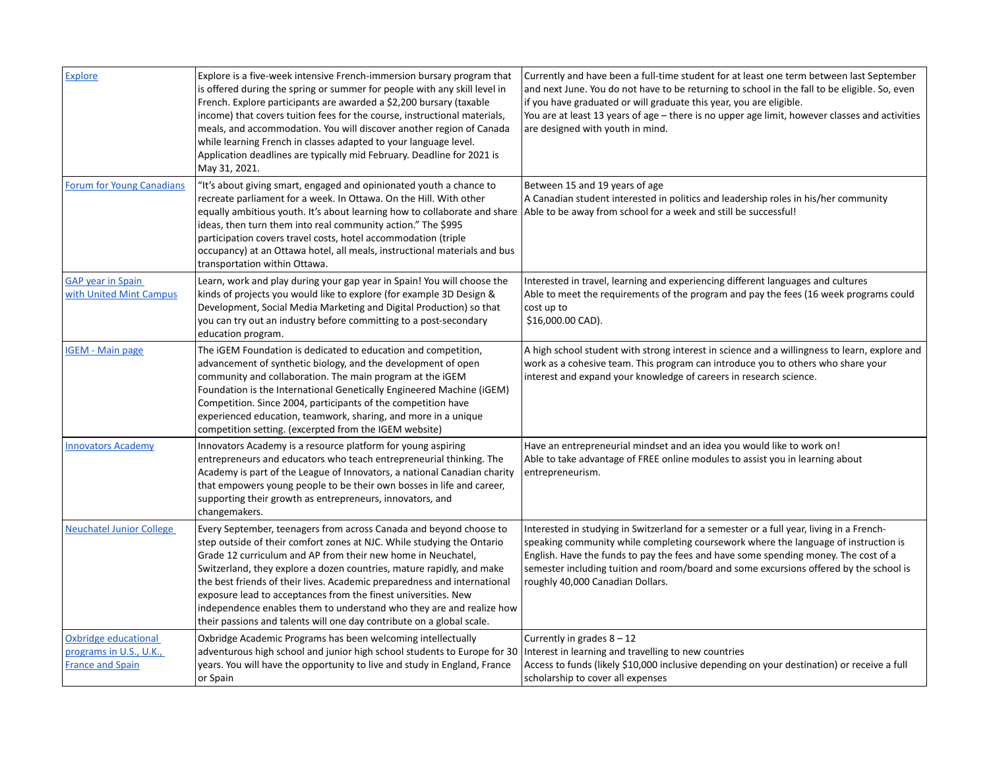| <b>Explore</b>                                                             | Explore is a five-week intensive French-immersion bursary program that<br>is offered during the spring or summer for people with any skill level in<br>French. Explore participants are awarded a \$2,200 bursary (taxable<br>income) that covers tuition fees for the course, instructional materials,<br>meals, and accommodation. You will discover another region of Canada<br>while learning French in classes adapted to your language level.<br>Application deadlines are typically mid February. Deadline for 2021 is<br>May 31, 2021.                                       | Currently and have been a full-time student for at least one term between last September<br>and next June. You do not have to be returning to school in the fall to be eligible. So, even<br>if you have graduated or will graduate this year, you are eligible.<br>You are at least 13 years of age – there is no upper age limit, however classes and activities<br>are designed with youth in mind. |
|----------------------------------------------------------------------------|--------------------------------------------------------------------------------------------------------------------------------------------------------------------------------------------------------------------------------------------------------------------------------------------------------------------------------------------------------------------------------------------------------------------------------------------------------------------------------------------------------------------------------------------------------------------------------------|--------------------------------------------------------------------------------------------------------------------------------------------------------------------------------------------------------------------------------------------------------------------------------------------------------------------------------------------------------------------------------------------------------|
| <b>Forum for Young Canadians</b>                                           | "It's about giving smart, engaged and opinionated youth a chance to<br>recreate parliament for a week. In Ottawa. On the Hill. With other<br>equally ambitious youth. It's about learning how to collaborate and share Able to be away from school for a week and still be successful!<br>ideas, then turn them into real community action." The \$995<br>participation covers travel costs, hotel accommodation (triple<br>occupancy) at an Ottawa hotel, all meals, instructional materials and bus<br>transportation within Ottawa.                                               | Between 15 and 19 years of age<br>A Canadian student interested in politics and leadership roles in his/her community                                                                                                                                                                                                                                                                                  |
| <b>GAP</b> year in Spain<br>with United Mint Campus                        | Learn, work and play during your gap year in Spain! You will choose the<br>kinds of projects you would like to explore (for example 3D Design &<br>Development, Social Media Marketing and Digital Production) so that<br>you can try out an industry before committing to a post-secondary<br>education program.                                                                                                                                                                                                                                                                    | Interested in travel, learning and experiencing different languages and cultures<br>Able to meet the requirements of the program and pay the fees (16 week programs could<br>cost up to<br>\$16,000.00 CAD).                                                                                                                                                                                           |
| <b>IGEM - Main page</b>                                                    | The IGEM Foundation is dedicated to education and competition,<br>advancement of synthetic biology, and the development of open<br>community and collaboration. The main program at the iGEM<br>Foundation is the International Genetically Engineered Machine (iGEM)<br>Competition. Since 2004, participants of the competition have<br>experienced education, teamwork, sharing, and more in a unique<br>competition setting. (excerpted from the IGEM website)                                                                                                                   | A high school student with strong interest in science and a willingness to learn, explore and<br>work as a cohesive team. This program can introduce you to others who share your<br>interest and expand your knowledge of careers in research science.                                                                                                                                                |
| <b>Innovators Academy</b>                                                  | Innovators Academy is a resource platform for young aspiring<br>entrepreneurs and educators who teach entrepreneurial thinking. The<br>Academy is part of the League of Innovators, a national Canadian charity<br>that empowers young people to be their own bosses in life and career,<br>supporting their growth as entrepreneurs, innovators, and<br>changemakers.                                                                                                                                                                                                               | Have an entrepreneurial mindset and an idea you would like to work on!<br>Able to take advantage of FREE online modules to assist you in learning about<br>entrepreneurism.                                                                                                                                                                                                                            |
| <b>Neuchatel Junior College</b>                                            | Every September, teenagers from across Canada and beyond choose to<br>step outside of their comfort zones at NJC. While studying the Ontario<br>Grade 12 curriculum and AP from their new home in Neuchatel,<br>Switzerland, they explore a dozen countries, mature rapidly, and make<br>the best friends of their lives. Academic preparedness and international<br>exposure lead to acceptances from the finest universities. New<br>independence enables them to understand who they are and realize how<br>their passions and talents will one day contribute on a global scale. | Interested in studying in Switzerland for a semester or a full year, living in a French-<br>speaking community while completing coursework where the language of instruction is<br>English. Have the funds to pay the fees and have some spending money. The cost of a<br>semester including tuition and room/board and some excursions offered by the school is<br>roughly 40,000 Canadian Dollars.   |
| Oxbridge educational<br>programs in U.S., U.K.,<br><b>France and Spain</b> | Oxbridge Academic Programs has been welcoming intellectually<br>adventurous high school and junior high school students to Europe for 30<br>years. You will have the opportunity to live and study in England, France<br>or Spain                                                                                                                                                                                                                                                                                                                                                    | Currently in grades $8 - 12$<br>Interest in learning and travelling to new countries<br>Access to funds (likely \$10,000 inclusive depending on your destination) or receive a full<br>scholarship to cover all expenses                                                                                                                                                                               |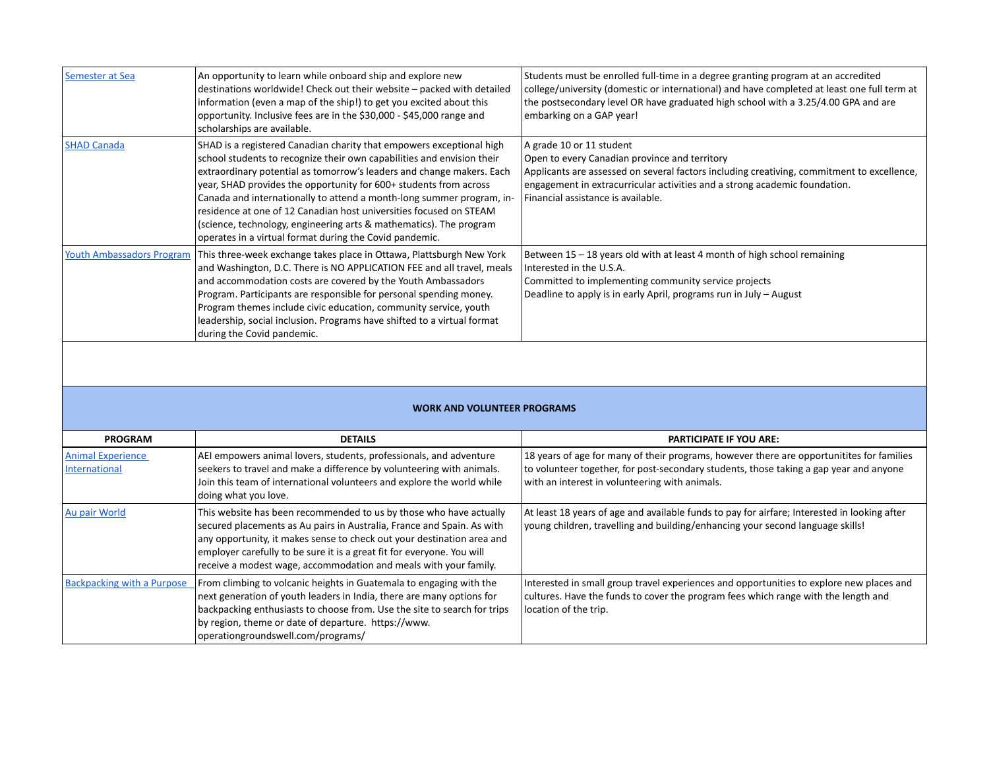| Semester at Sea                  | An opportunity to learn while onboard ship and explore new<br>destinations worldwide! Check out their website - packed with detailed<br>information (even a map of the ship!) to get you excited about this<br>opportunity. Inclusive fees are in the \$30,000 - \$45,000 range and<br>scholarships are available.                                                                                                                                                                                                                                                           | Students must be enrolled full-time in a degree granting program at an accredited<br>college/university (domestic or international) and have completed at least one full term at<br>the postsecondary level OR have graduated high school with a 3.25/4.00 GPA and are<br>embarking on a GAP year! |
|----------------------------------|------------------------------------------------------------------------------------------------------------------------------------------------------------------------------------------------------------------------------------------------------------------------------------------------------------------------------------------------------------------------------------------------------------------------------------------------------------------------------------------------------------------------------------------------------------------------------|----------------------------------------------------------------------------------------------------------------------------------------------------------------------------------------------------------------------------------------------------------------------------------------------------|
| <b>SHAD Canada</b>               | SHAD is a registered Canadian charity that empowers exceptional high<br>school students to recognize their own capabilities and envision their<br>extraordinary potential as tomorrow's leaders and change makers. Each<br>year, SHAD provides the opportunity for 600+ students from across<br>Canada and internationally to attend a month-long summer program, in-<br>residence at one of 12 Canadian host universities focused on STEAM<br>(science, technology, engineering arts & mathematics). The program<br>operates in a virtual format during the Covid pandemic. | A grade 10 or 11 student<br>Open to every Canadian province and territory<br>Applicants are assessed on several factors including creativing, commitment to excellence,<br>engagement in extracurricular activities and a strong academic foundation.<br>Financial assistance is available.        |
| <b>Youth Ambassadors Program</b> | This three-week exchange takes place in Ottawa, Plattsburgh New York<br>and Washington, D.C. There is NO APPLICATION FEE and all travel, meals<br>and accommodation costs are covered by the Youth Ambassadors<br>Program. Participants are responsible for personal spending money.<br>Program themes include civic education, community service, youth<br>leadership, social inclusion. Programs have shifted to a virtual format<br>during the Covid pandemic.                                                                                                            | Between 15 - 18 years old with at least 4 month of high school remaining<br>Interested in the U.S.A.<br>Committed to implementing community service projects<br>Deadline to apply is in early April, programs run in July – August                                                                 |

## **WORK AND VOLUNTEER PROGRAMS**

| <b>PROGRAM</b>                            | <b>DETAILS</b>                                                                                                                                                                                                                                                                                                                                                       | <b>PARTICIPATE IF YOU ARE:</b>                                                                                                                                                                                                        |
|-------------------------------------------|----------------------------------------------------------------------------------------------------------------------------------------------------------------------------------------------------------------------------------------------------------------------------------------------------------------------------------------------------------------------|---------------------------------------------------------------------------------------------------------------------------------------------------------------------------------------------------------------------------------------|
| <b>Animal Experience</b><br>International | AEI empowers animal lovers, students, professionals, and adventure<br>seekers to travel and make a difference by volunteering with animals.<br>Join this team of international volunteers and explore the world while<br>doing what you love.                                                                                                                        | 18 years of age for many of their programs, however there are opportunitites for families<br>to volunteer together, for post-secondary students, those taking a gap year and anyone<br>with an interest in volunteering with animals. |
| Au pair World                             | This website has been recommended to us by those who have actually<br>secured placements as Au pairs in Australia, France and Spain. As with<br>any opportunity, it makes sense to check out your destination area and<br>employer carefully to be sure it is a great fit for everyone. You will<br>receive a modest wage, accommodation and meals with your family. | At least 18 years of age and available funds to pay for airfare; Interested in looking after<br>young children, travelling and building/enhancing your second language skills!                                                        |
| <b>Backpacking with a Purpose</b>         | From climbing to volcanic heights in Guatemala to engaging with the<br>next generation of youth leaders in India, there are many options for<br>backpacking enthusiasts to choose from. Use the site to search for trips<br>by region, theme or date of departure. https://www.<br> operationgroundswell.com/programs/                                               | Interested in small group travel experiences and opportunities to explore new places and<br>cultures. Have the funds to cover the program fees which range with the length and<br>location of the trip.                               |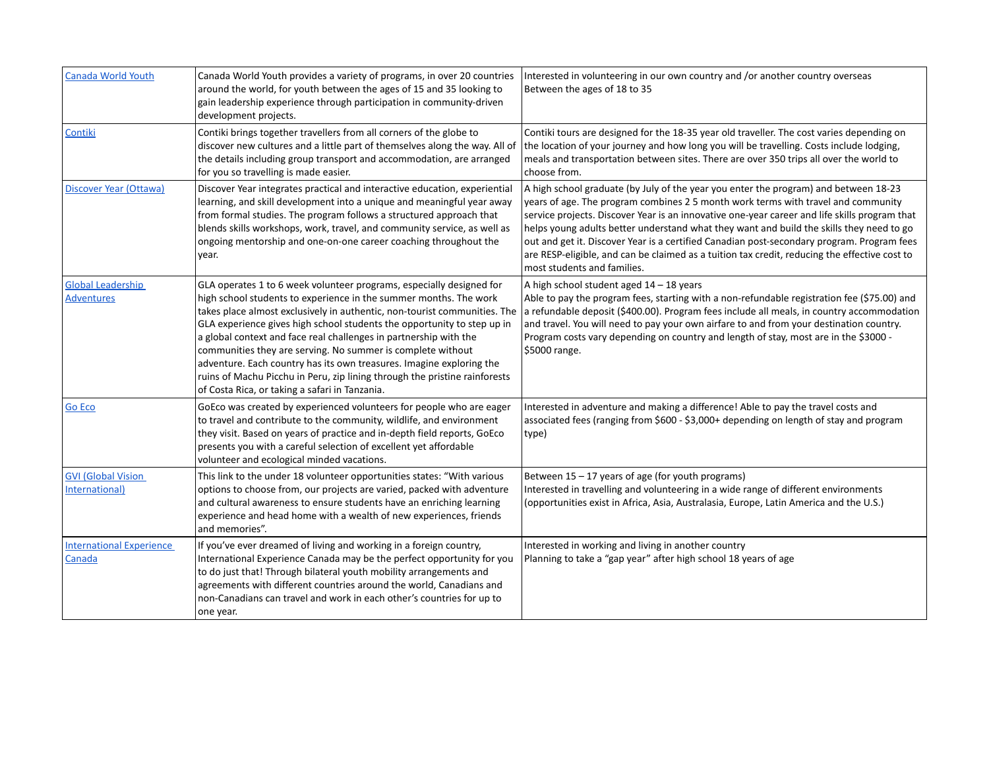| <b>Canada World Youth</b>                     | Canada World Youth provides a variety of programs, in over 20 countries<br>around the world, for youth between the ages of 15 and 35 looking to<br>gain leadership experience through participation in community-driven<br>development projects.                                                                                                                                                                                                                                                                                                                                                                                              | Interested in volunteering in our own country and /or another country overseas<br>Between the ages of 18 to 35                                                                                                                                                                                                                                                                                                                                                                                                                                                                                       |
|-----------------------------------------------|-----------------------------------------------------------------------------------------------------------------------------------------------------------------------------------------------------------------------------------------------------------------------------------------------------------------------------------------------------------------------------------------------------------------------------------------------------------------------------------------------------------------------------------------------------------------------------------------------------------------------------------------------|------------------------------------------------------------------------------------------------------------------------------------------------------------------------------------------------------------------------------------------------------------------------------------------------------------------------------------------------------------------------------------------------------------------------------------------------------------------------------------------------------------------------------------------------------------------------------------------------------|
| Contiki                                       | Contiki brings together travellers from all corners of the globe to<br>discover new cultures and a little part of themselves along the way. All of<br>the details including group transport and accommodation, are arranged<br>for you so travelling is made easier.                                                                                                                                                                                                                                                                                                                                                                          | Contiki tours are designed for the 18-35 year old traveller. The cost varies depending on<br>the location of your journey and how long you will be travelling. Costs include lodging,<br>meals and transportation between sites. There are over 350 trips all over the world to<br>choose from.                                                                                                                                                                                                                                                                                                      |
| Discover Year (Ottawa)                        | Discover Year integrates practical and interactive education, experiential<br>learning, and skill development into a unique and meaningful year away<br>from formal studies. The program follows a structured approach that<br>blends skills workshops, work, travel, and community service, as well as<br>ongoing mentorship and one-on-one career coaching throughout the<br>year.                                                                                                                                                                                                                                                          | A high school graduate (by July of the year you enter the program) and between 18-23<br>years of age. The program combines 2.5 month work terms with travel and community<br>service projects. Discover Year is an innovative one-year career and life skills program that<br>helps young adults better understand what they want and build the skills they need to go<br>out and get it. Discover Year is a certified Canadian post-secondary program. Program fees<br>are RESP-eligible, and can be claimed as a tuition tax credit, reducing the effective cost to<br>most students and families. |
| <b>Global Leadership</b><br><b>Adventures</b> | GLA operates 1 to 6 week volunteer programs, especially designed for<br>high school students to experience in the summer months. The work<br>takes place almost exclusively in authentic, non-tourist communities. The<br>GLA experience gives high school students the opportunity to step up in<br>a global context and face real challenges in partnership with the<br>communities they are serving. No summer is complete without<br>adventure. Each country has its own treasures. Imagine exploring the<br>ruins of Machu Picchu in Peru, zip lining through the pristine rainforests<br>of Costa Rica, or taking a safari in Tanzania. | A high school student aged $14 - 18$ years<br>Able to pay the program fees, starting with a non-refundable registration fee (\$75.00) and<br>a refundable deposit (\$400.00). Program fees include all meals, in country accommodation<br>and travel. You will need to pay your own airfare to and from your destination country.<br>Program costs vary depending on country and length of stay, most are in the \$3000 -<br>\$5000 range.                                                                                                                                                           |
| <b>Go Eco</b>                                 | GoEco was created by experienced volunteers for people who are eager<br>to travel and contribute to the community, wildlife, and environment<br>they visit. Based on years of practice and in-depth field reports, GoEco<br>presents you with a careful selection of excellent yet affordable<br>volunteer and ecological minded vacations.                                                                                                                                                                                                                                                                                                   | Interested in adventure and making a difference! Able to pay the travel costs and<br>associated fees (ranging from \$600 - \$3,000+ depending on length of stay and program<br>type)                                                                                                                                                                                                                                                                                                                                                                                                                 |
| <b>GVI (Global Vision</b><br>International)   | This link to the under 18 volunteer opportunities states: "With various<br>options to choose from, our projects are varied, packed with adventure<br>and cultural awareness to ensure students have an enriching learning<br>experience and head home with a wealth of new experiences, friends<br>and memories".                                                                                                                                                                                                                                                                                                                             | Between 15 - 17 years of age (for youth programs)<br>Interested in travelling and volunteering in a wide range of different environments<br>(opportunities exist in Africa, Asia, Australasia, Europe, Latin America and the U.S.)                                                                                                                                                                                                                                                                                                                                                                   |
| <b>International Experience</b><br>Canada     | If you've ever dreamed of living and working in a foreign country,<br>International Experience Canada may be the perfect opportunity for you<br>to do just that! Through bilateral youth mobility arrangements and<br>agreements with different countries around the world, Canadians and<br>non-Canadians can travel and work in each other's countries for up to<br>one year.                                                                                                                                                                                                                                                               | Interested in working and living in another country<br>Planning to take a "gap year" after high school 18 years of age                                                                                                                                                                                                                                                                                                                                                                                                                                                                               |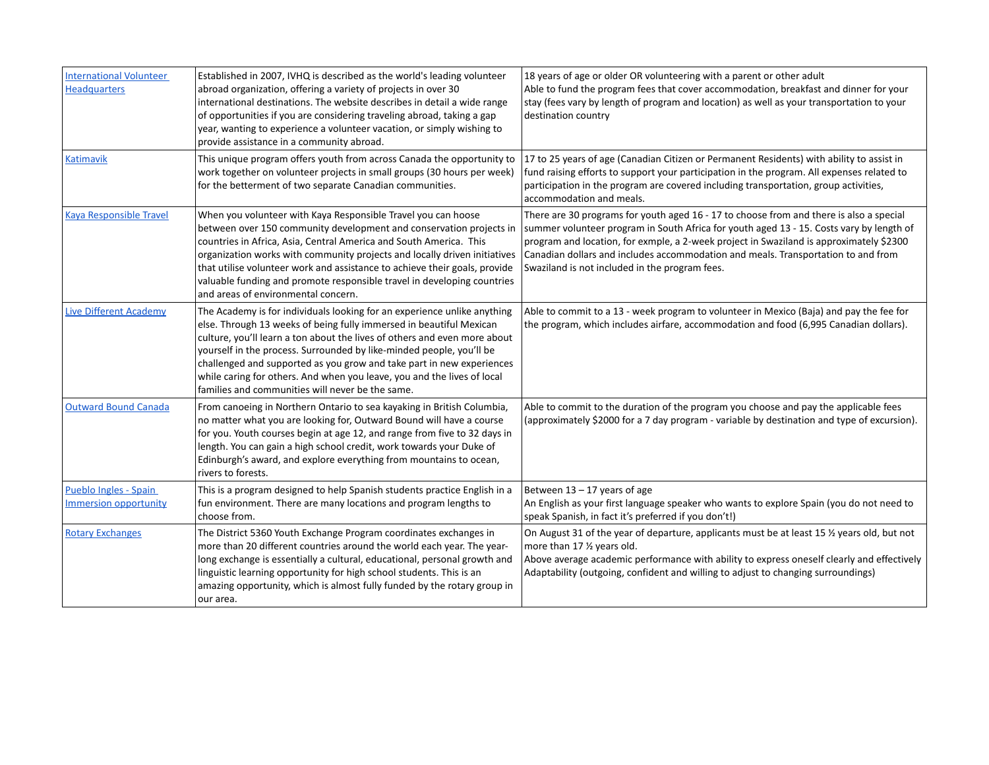| <b>International Volunteer</b><br><b>Headquarters</b> | Established in 2007, IVHQ is described as the world's leading volunteer<br>abroad organization, offering a variety of projects in over 30<br>international destinations. The website describes in detail a wide range<br>of opportunities if you are considering traveling abroad, taking a gap<br>year, wanting to experience a volunteer vacation, or simply wishing to<br>provide assistance in a community abroad.                                                                                       | 18 years of age or older OR volunteering with a parent or other adult<br>Able to fund the program fees that cover accommodation, breakfast and dinner for your<br>stay (fees vary by length of program and location) as well as your transportation to your<br>destination country                                                                                                                                    |
|-------------------------------------------------------|--------------------------------------------------------------------------------------------------------------------------------------------------------------------------------------------------------------------------------------------------------------------------------------------------------------------------------------------------------------------------------------------------------------------------------------------------------------------------------------------------------------|-----------------------------------------------------------------------------------------------------------------------------------------------------------------------------------------------------------------------------------------------------------------------------------------------------------------------------------------------------------------------------------------------------------------------|
| <b>Katimavik</b>                                      | This unique program offers youth from across Canada the opportunity to<br>work together on volunteer projects in small groups (30 hours per week)<br>for the betterment of two separate Canadian communities.                                                                                                                                                                                                                                                                                                | 17 to 25 years of age (Canadian Citizen or Permanent Residents) with ability to assist in<br>fund raising efforts to support your participation in the program. All expenses related to<br>participation in the program are covered including transportation, group activities,<br>accommodation and meals.                                                                                                           |
| <b>Kaya Responsible Travel</b>                        | When you volunteer with Kaya Responsible Travel you can hoose<br>between over 150 community development and conservation projects in<br>countries in Africa, Asia, Central America and South America. This<br>organization works with community projects and locally driven initiatives<br>that utilise volunteer work and assistance to achieve their goals, provide<br>valuable funding and promote responsible travel in developing countries<br>and areas of environmental concern.                      | There are 30 programs for youth aged 16 - 17 to choose from and there is also a special<br>summer volunteer program in South Africa for youth aged 13 - 15. Costs vary by length of<br>program and location, for exmple, a 2-week project in Swaziland is approximately \$2300<br>Canadian dollars and includes accommodation and meals. Transportation to and from<br>Swaziland is not included in the program fees. |
| <b>Live Different Academy</b>                         | The Academy is for individuals looking for an experience unlike anything<br>else. Through 13 weeks of being fully immersed in beautiful Mexican<br>culture, you'll learn a ton about the lives of others and even more about<br>yourself in the process. Surrounded by like-minded people, you'll be<br>challenged and supported as you grow and take part in new experiences<br>while caring for others. And when you leave, you and the lives of local<br>families and communities will never be the same. | Able to commit to a 13 - week program to volunteer in Mexico (Baja) and pay the fee for<br>the program, which includes airfare, accommodation and food (6,995 Canadian dollars).                                                                                                                                                                                                                                      |
| <b>Outward Bound Canada</b>                           | From canoeing in Northern Ontario to sea kayaking in British Columbia,<br>no matter what you are looking for, Outward Bound will have a course<br>for you. Youth courses begin at age 12, and range from five to 32 days in<br>length. You can gain a high school credit, work towards your Duke of<br>Edinburgh's award, and explore everything from mountains to ocean,<br>rivers to forests.                                                                                                              | Able to commit to the duration of the program you choose and pay the applicable fees<br>(approximately \$2000 for a 7 day program - variable by destination and type of excursion).                                                                                                                                                                                                                                   |
| Pueblo Ingles - Spain<br>Immersion opportunity        | This is a program designed to help Spanish students practice English in a<br>fun environment. There are many locations and program lengths to<br>choose from.                                                                                                                                                                                                                                                                                                                                                | Between 13 – 17 years of age<br>An English as your first language speaker who wants to explore Spain (you do not need to<br>speak Spanish, in fact it's preferred if you don't!)                                                                                                                                                                                                                                      |
| <b>Rotary Exchanges</b>                               | The District 5360 Youth Exchange Program coordinates exchanges in<br>more than 20 different countries around the world each year. The year-<br>long exchange is essentially a cultural, educational, personal growth and<br>linguistic learning opportunity for high school students. This is an<br>amazing opportunity, which is almost fully funded by the rotary group in<br>our area.                                                                                                                    | On August 31 of the year of departure, applicants must be at least 15 % years old, but not<br>more than 17 % years old.<br>Above average academic performance with ability to express oneself clearly and effectively<br>Adaptability (outgoing, confident and willing to adjust to changing surroundings)                                                                                                            |